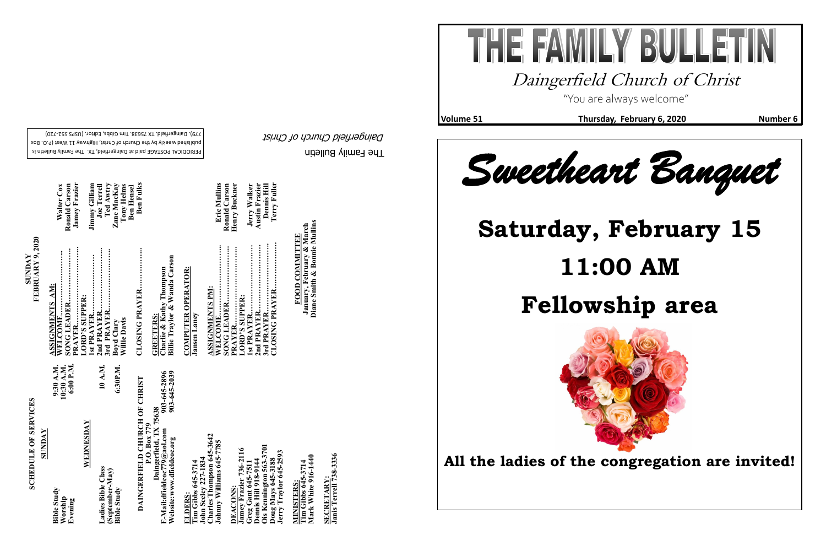The Family Bulletin Daingerfield Church of Christ

# **SCHEDULE OF SERVICES SCHEDULE OF SERVICES**

PERIODICAL POSTAGE paid at Daingerfield, TX. The Family Bulletin is published weekly by the Church of Christ, Highway 11 West (P.O. Box 720) - 779). Daingerfield. TX 75638. Tim Gibbs, Editor. (USPS 552

**SUNDAY<br>FEBRUARY 9, 2020 FEBRUARY 9, 2020** 

| 6:00 P.M.<br>9:30 A.M.<br>10:30 A.M.                   |
|--------------------------------------------------------|
| 10 A.M.                                                |
| 6:30P.M.                                               |
| DAINGERFIELD CHURCH OF CHRIST                          |
| 903-645-2039<br>903-645-2896<br>Daingerfield, TX 75638 |
|                                                        |
|                                                        |
|                                                        |
|                                                        |
|                                                        |
|                                                        |

THE FAWILY BULLET Daingerfield Church of Christ "You are always welcome"

**SECRETARY:**

**SECRETARY:**<br>Janis Terrell 738-333

**Janis Terrell 738-3336**

**Diane Smith & Bonnie Mullins**







**Volume 51** Thursday, February 6, 2020 Number 6